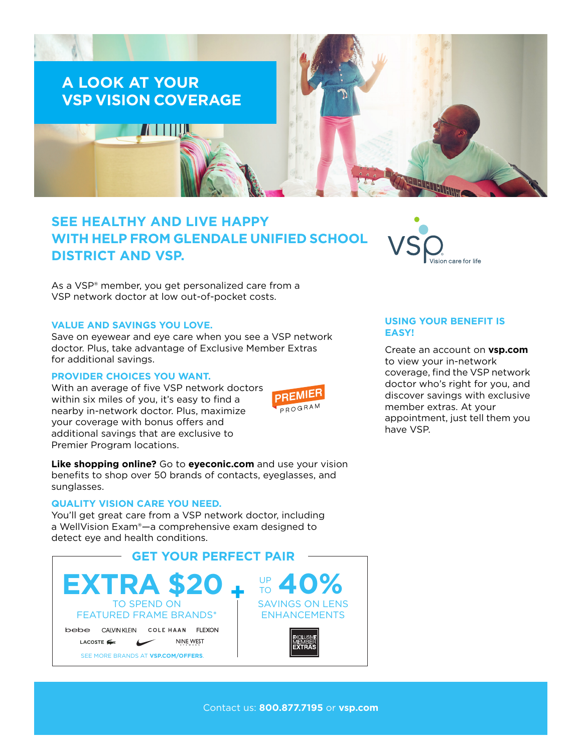

# **SEE HEALTHY AND LIVE HAPPY WITH HELP FROM GLENDALE UNIFIED SCHOOL DISTRICT AND VSP.**

As a VSP® member, you get personalized care from a VSP network doctor at low out-of-pocket costs.

### **VALUE AND SAVINGS YOU LOVE.**

Save on eyewear and eye care when you see a VSP network doctor. Plus, take advantage of Exclusive Member Extras for additional savings.

# **PROVIDER CHOICES YOU WANT.**

With an average of five VSP network doctors within six miles of you, it's easy to find a nearby in-network doctor. Plus, maximize your coverage with bonus offers and additional savings that are exclusive to Premier Program locations.



**Like shopping online?** Go to **[eyeconic.com](https://www.eyeconic.com)** and use your vision benefits to shop over 50 brands of contacts, eyeglasses, and sunglasses.

#### **QUALITY VISION CARE YOU NEED.**

You'll get great care from a VSP network doctor, including a WellVision Exam®—a comprehensive exam designed to detect eye and health conditions.





# **USING YOUR BENEFIT IS EASY!**

Create an account on **[vsp.com](http://www.vsp.com)** to view your in-network coverage, find the VSP network doctor who's right for you, and discover savings with exclusive member extras. At your appointment, just tell them you have VSP.